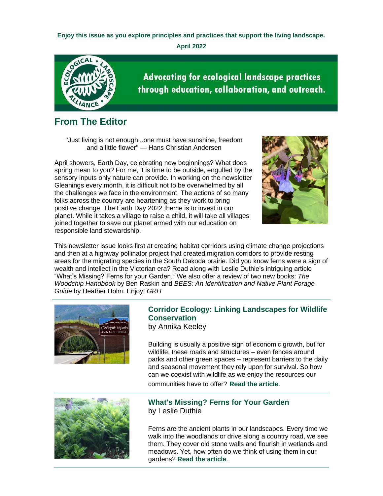**Enjoy this issue as you explore principles and practices that support the living landscape.**

**April 2022**



**Advocating for ecological landscape practices** through education, collaboration, and outreach.

## **From The Editor**

"Just living is not enough...one must have sunshine, freedom and a little flower" — Hans Christian Andersen

April showers, Earth Day, celebrating new beginnings? What does spring mean to you? For me, it is time to be outside, engulfed by the sensory inputs only nature can provide. In working on the newsletter Gleanings every month, it is difficult not to be overwhelmed by all the challenges we face in the environment. The actions of so many folks across the country are heartening as they work to bring positive change. The Earth Day 2022 theme is to invest in our planet. While it takes a village to raise a child, it will take all villages joined together to save our planet armed with our education on responsible land stewardship.



This newsletter issue looks first at creating habitat corridors using climate change projections and then at a highway pollinator project that created migration corridors to provide resting areas for the migrating species in the South Dakoda prairie. Did you know ferns were a sign of wealth and intellect in the Victorian era? Read along with Leslie Duthie's intriguing article "What's Missing? Ferns for your Garden*."* We also offer a review of two new books: *The Woodchip Handbook* by Ben Raskin and *BEES: An Identification and Native Plant Forage Guide* by Heather Holm. Enjoy! *GRH*



## **Corridor Ecology: Linking Landscapes for Wildlife Conservation**

by Annika Keeley

Building is usually a positive sign of economic growth, but for wildlife, these roads and structures – even fences around parks and other green spaces – represent barriers to the daily and seasonal movement they rely upon for survival. So how can we coexist with wildlife as we enjoy the resources our communities have to offer? **[Read the article](https://r20.rs6.net/tn.jsp?f=001AxRGZNAmDPZCwZsdntIzOuRkaaVyl8iRaEj_UcrOXgQ_y1AmX_oEm5P6kUCzCq8odmfDkJwfS-UsjlhUFJPRh7bwyEt_zFDHorky4DMMFVk38fbw0DcAs4Co7Zbrp44aKiAQ2f8Dx2nozDMEYZ8yZOYfUS-a1UNkz2157cG2nEIN500-zmoHhGQ00HsHgJ6FRDXXPUVit3pOzFBXH2URZi-btfxwM5aPe4V7LEcpq0InPwd8FY1Nm8pbJIPc8XLHZ7yT5GeVWRkOA9NF_6dSp2Rdvd3ULZxc&c=Fw5ZGMRW24Rhnj-qNynE2fHVJJfDToToMev8FR_u8mIoI2JtTRfaxw==&ch=MNVCIwXXAtHs1xvnEQmPc4Y1IJ-lI-DZInDQuHAJye6WdlmpSsX5WA==)**.



### **What's Missing? Ferns for Your Garden** by Leslie Duthie

Ferns are the ancient plants in our landscapes. Every time we walk into the woodlands or drive along a country road, we see them. They cover old stone walls and flourish in wetlands and meadows. Yet, how often do we think of using them in our gardens? **[Read the article](https://r20.rs6.net/tn.jsp?f=001AxRGZNAmDPZCwZsdntIzOuRkaaVyl8iRaEj_UcrOXgQ_y1AmX_oEm5P6kUCzCq8otD178SX3vRgC0BnWBzelyNq3iDYd_2fpeUgHEokOewRgfve68TRIvWW-bmbgDVL02DXOGxgPiZCgBa8V__68_kMvSSG9XfkMw6PCYoH0Vjy1hl5H8m-B-T9ARJLdNClmPRdTjs5Zs7DivqB_Iw7M7K_RkOev6qMij-ljnbxiI3IVKcJ4i0PYf8vyYzy_RdTOsI2E1bRxgNsWcBcZjCnaFA==&c=Fw5ZGMRW24Rhnj-qNynE2fHVJJfDToToMev8FR_u8mIoI2JtTRfaxw==&ch=MNVCIwXXAtHs1xvnEQmPc4Y1IJ-lI-DZInDQuHAJye6WdlmpSsX5WA==)**.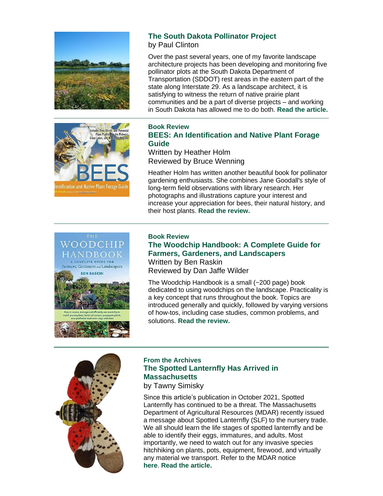



### **The South Dakota Pollinator Project**

by Paul Clinton

Over the past several years, one of my favorite landscape architecture projects has been developing and monitoring five pollinator plots at the South Dakota Department of Transportation (SDDOT) rest areas in the eastern part of the state along Interstate 29. As a landscape architect, it is satisfying to witness the return of native prairie plant communities and be a part of diverse projects – and working in South Dakota has allowed me to do both. **[Read the article.](https://r20.rs6.net/tn.jsp?f=001AxRGZNAmDPZCwZsdntIzOuRkaaVyl8iRaEj_UcrOXgQ_y1AmX_oEm5P6kUCzCq8oOTr-Pt4Z9fl9o5XYRlqI0w0hrPvM6sknDFttqt9XPPUtKj2xMmxm8kky0sy4fs2VZqVHtkV--MDIVK7irdZLCRC1GalLiKKQdaBz6kdq8GsX_Bo2zAXn-8iF3kT9sOYv6Vzndg4YKNHYB-IYqIXykiGuxzbwasU7jTEpNseYPjGF9ob1vTDFxC_XGo2s2yvPcrHAmuPJYjoerSGN7Tb_SNE5mVc789ygYJOy2_Dn3lQ=&c=Fw5ZGMRW24Rhnj-qNynE2fHVJJfDToToMev8FR_u8mIoI2JtTRfaxw==&ch=MNVCIwXXAtHs1xvnEQmPc4Y1IJ-lI-DZInDQuHAJye6WdlmpSsX5WA==)**

### **Book Review BEES: An Identification and Native Plant Forage Guide**

Written by Heather Holm Reviewed by Bruce Wenning

Heather Holm has written another beautiful book for pollinator gardening enthusiasts. She combines Jane Goodall's style of long-term field observations with library research. Her photographs and illustrations capture your interest and increase your appreciation for bees, their natural history, and their host plants. **[Read the review.](https://r20.rs6.net/tn.jsp?f=001AxRGZNAmDPZCwZsdntIzOuRkaaVyl8iRaEj_UcrOXgQ_y1AmX_oEm5P6kUCzCq8omWxBc3fSZ-pvo0wtYK5BjF32XLgHQAFbOR2u3-KZzj-jCfNggsWXEl9tQvPdJk5POkTVWar5b-p3rDI9U9n8azFvbv-w0u9rbBzz59nEToQMZB71TEsZ_2qShpNFFk90-hIo76C0TI96OSr4AJyJB3cFjdBN_wndzZ6qIlimtOU5nLRE3IXwomiVYxwGdMfwZyZp9B9oELg=&c=Fw5ZGMRW24Rhnj-qNynE2fHVJJfDToToMev8FR_u8mIoI2JtTRfaxw==&ch=MNVCIwXXAtHs1xvnEQmPc4Y1IJ-lI-DZInDQuHAJye6WdlmpSsX5WA==)**

#### THE WOODCHIP HANDBOOK A COMPLETE GUIDE FOR



#### **Book Review The Woodchip Handbook: A Complete Guide for Farmers, Gardeners, and Landscapers**

Written by Ben Raskin Reviewed by Dan Jaffe Wilder

The Woodchip Handbook is a small (~200 page) book dedicated to using woodchips on the landscape. Practicality is a key concept that runs throughout the book. Topics are introduced generally and quickly, followed by varying versions of how-tos, including case studies, common problems, and solutions. **[Read the review.](https://r20.rs6.net/tn.jsp?f=001AxRGZNAmDPZCwZsdntIzOuRkaaVyl8iRaEj_UcrOXgQ_y1AmX_oEm5P6kUCzCq8oorFbNu5g39i_CxhnysFLPLG76Lzy5QfYWtz27CvoHUy7UI9YarqWo-KyjgEUxPvzwGhgnCbZLcrmchXi-qfrUMgfEDKYWbRlrEeK076eD8ixP3OKgdncjS9kUSqJfdpKazZ1dIfxXUt6TI8SNqBYvpgcQalqIytfowo4VppAnd4=&c=Fw5ZGMRW24Rhnj-qNynE2fHVJJfDToToMev8FR_u8mIoI2JtTRfaxw==&ch=MNVCIwXXAtHs1xvnEQmPc4Y1IJ-lI-DZInDQuHAJye6WdlmpSsX5WA==)**



### **From the Archives The Spotted Lanternfly Has Arrived in Massachusetts**

by Tawny Simisky

Since this article's publication in October 2021, Spotted Lanternfly has continued to be a threat. The Massachusetts Department of Agricultural Resources (MDAR) recently issued a message about Spotted Lanternfly (SLF) to the nursery trade. We all should learn the life stages of spotted lanternfly and be able to identify their eggs, immatures, and adults. Most importantly, we need to watch out for any invasive species hitchhiking on plants, pots, equipment, firewood, and virtually any material we transport. Refer to the MDAR notice **[here](https://r20.rs6.net/tn.jsp?f=001AxRGZNAmDPZCwZsdntIzOuRkaaVyl8iRaEj_UcrOXgQ_y1AmX_oEm5P6kUCzCq8ocJcu5FSqMAVww7FJ4G2B1xFQSnF8zbowQg-lTzXi5wGdv7y8EaBxXNzQKGtVuDEfxj-QbbDoi0sfg4-ChiRtAUox-Ol3zYg1M4ac-7p6Zd0=&c=Fw5ZGMRW24Rhnj-qNynE2fHVJJfDToToMev8FR_u8mIoI2JtTRfaxw==&ch=MNVCIwXXAtHs1xvnEQmPc4Y1IJ-lI-DZInDQuHAJye6WdlmpSsX5WA==)**. **[Read the article.](https://r20.rs6.net/tn.jsp?f=001AxRGZNAmDPZCwZsdntIzOuRkaaVyl8iRaEj_UcrOXgQ_y1AmX_oEmwhfdxTQCeyqonOP3ev_hjOKrhdal2VBuoALxcoON_6cD5L8Zo1Zrb1Dk8_1jpnDzSHm2xTdbuRurbJoo_tU7-TAohFuWi8rLpbx9GT0NTjOWYOpwcIOwbWV2W6tM4HUKGckwFjVYBk0WUdjpfUmz4CoG8ylY7NYANopF2mKPyDBwoCExDU4U0KOEmjlZKs8IyYD9Pse4qjWL_J1IBAD2ZNBA9P0f9L7zAuxyiNe0TfT&c=Fw5ZGMRW24Rhnj-qNynE2fHVJJfDToToMev8FR_u8mIoI2JtTRfaxw==&ch=MNVCIwXXAtHs1xvnEQmPc4Y1IJ-lI-DZInDQuHAJye6WdlmpSsX5WA==)**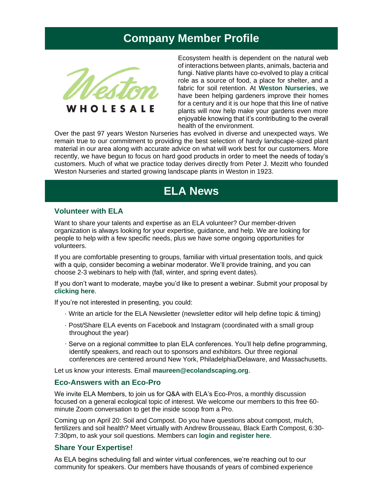## **Company Member Profile**



Ecosystem health is dependent on the natural web of interactions between plants, animals, bacteria and fungi. Native plants have co-evolved to play a critical role as a source of food, a place for shelter, and a fabric for soil retention. At **[Weston Nurseries](https://r20.rs6.net/tn.jsp?f=001AxRGZNAmDPZCwZsdntIzOuRkaaVyl8iRaEj_UcrOXgQ_y1AmX_oEmwxUCVetwN1hMWnWCc5mcYR2f4Ac4nvtgt_BwcQz19hDludbF8k0iury55jPqM19JyePRnxEGbgylpMaRDN3EPP4-8RZe2kqsA==&c=Fw5ZGMRW24Rhnj-qNynE2fHVJJfDToToMev8FR_u8mIoI2JtTRfaxw==&ch=MNVCIwXXAtHs1xvnEQmPc4Y1IJ-lI-DZInDQuHAJye6WdlmpSsX5WA==)**, we have been helping gardeners improve their homes for a century and it is our hope that this line of native plants will now help make your gardens even more enjoyable knowing that it's contributing to the overall health of the environment.

Over the past 97 years Weston Nurseries has evolved in diverse and unexpected ways. We remain true to our commitment to providing the best selection of hardy landscape-sized plant material in our area along with accurate advice on what will work best for our customers. More recently, we have begun to focus on hard good products in order to meet the needs of today's customers. Much of what we practice today derives directly from Peter J. Mezitt who founded Weston Nurseries and started growing landscape plants in Weston in 1923.

## **ELA News**

#### **Volunteer with ELA**

Want to share your talents and expertise as an ELA volunteer? Our member-driven organization is always looking for your expertise, guidance, and help. We are looking for people to help with a few specific needs, plus we have some ongoing opportunities for volunteers.

If you are comfortable presenting to groups, familiar with virtual presentation tools, and quick with a quip, consider becoming a webinar moderator. We'll provide training, and you can choose 2-3 webinars to help with (fall, winter, and spring event dates).

If you don't want to moderate, maybe you'd like to present a webinar. Submit your proposal by **[clicking here](https://r20.rs6.net/tn.jsp?f=001AxRGZNAmDPZCwZsdntIzOuRkaaVyl8iRaEj_UcrOXgQ_y1AmX_oEmzsMCxsAMzHnwxdA7AoAUIFTUHJq5fgrD-3QxeKWajHbkoECLlKjPqaP5RBaxyIQPOc1B58hN5ZGHrZAlVucfQY0DYGuFq2ZoNduoXoCMbKExstueJAPmjhXGysMDcdzxiOt3W6PX6NcVbwku7s8S94=&c=Fw5ZGMRW24Rhnj-qNynE2fHVJJfDToToMev8FR_u8mIoI2JtTRfaxw==&ch=MNVCIwXXAtHs1xvnEQmPc4Y1IJ-lI-DZInDQuHAJye6WdlmpSsX5WA==)**.

If you're not interested in presenting, you could:

- · Write an article for the ELA Newsletter (newsletter editor will help define topic & timing)
- · Post/Share ELA events on Facebook and Instagram (coordinated with a small group throughout the year)
- Serve on a regional committee to plan ELA conferences. You'll help define programming, identify speakers, and reach out to sponsors and exhibitors. Our three regional conferences are centered around New York, Philadelphia/Delaware, and Massachusetts.

Let us know your interests. Email **[maureen@ecolandscaping.org](mailto:maureen@ecolandscaping.org)**.

#### **Eco-Answers with an Eco-Pro**

We invite ELA Members, to join us for Q&A with ELA's Eco-Pros, a monthly discussion focused on a general ecological topic of interest. We welcome our members to this free 60 minute Zoom conversation to get the inside scoop from a Pro.

Coming up on April 20: Soil and Compost. Do you have questions about compost, mulch, fertilizers and soil health? Meet virtually with Andrew Brousseau, Black Earth Compost, 6:30- 7:30pm, to ask your soil questions. Members can **[login and register here](https://r20.rs6.net/tn.jsp?f=001AxRGZNAmDPZCwZsdntIzOuRkaaVyl8iRaEj_UcrOXgQ_y1AmX_oEm5P6kUCzCq8ofmZCOAPs6nswbG-4VmuOFI_5to8UJIPqXc9WcJpyHJiDfoQJ9ljYOy4XPYtFHBweGhge5w31juO74xikSPqqL7BzYElBQCtnn5pMfvmweQWv0Pshs84tvY5h_wtLSnL3viNUy8pdg0CFFyVxGKJg3Q==&c=Fw5ZGMRW24Rhnj-qNynE2fHVJJfDToToMev8FR_u8mIoI2JtTRfaxw==&ch=MNVCIwXXAtHs1xvnEQmPc4Y1IJ-lI-DZInDQuHAJye6WdlmpSsX5WA==)**.

#### **Share Your Expertise!**

As ELA begins scheduling fall and winter virtual conferences, we're reaching out to our community for speakers. Our members have thousands of years of combined experience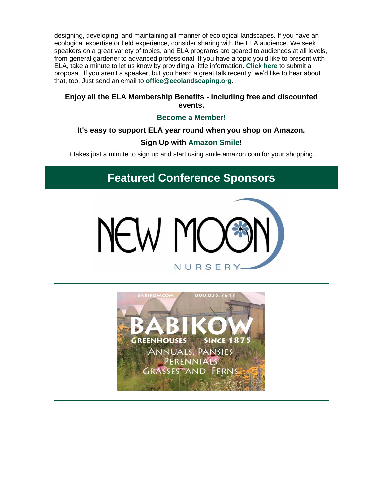designing, developing, and maintaining all manner of ecological landscapes. If you have an ecological expertise or field experience, consider sharing with the ELA audience. We seek speakers on a great variety of topics, and ELA programs are geared to audiences at all levels, from general gardener to advanced professional. If you have a topic you'd like to present with ELA, take a minute to let us know by providing a little information. **[Click here](https://r20.rs6.net/tn.jsp?f=001AxRGZNAmDPZCwZsdntIzOuRkaaVyl8iRaEj_UcrOXgQ_y1AmX_oEmzsMCxsAMzHnwxdA7AoAUIFTUHJq5fgrD-3QxeKWajHbkoECLlKjPqaP5RBaxyIQPOc1B58hN5ZGHrZAlVucfQY0DYGuFq2ZoNduoXoCMbKExstueJAPmjhXGysMDcdzxiOt3W6PX6NcVbwku7s8S94=&c=Fw5ZGMRW24Rhnj-qNynE2fHVJJfDToToMev8FR_u8mIoI2JtTRfaxw==&ch=MNVCIwXXAtHs1xvnEQmPc4Y1IJ-lI-DZInDQuHAJye6WdlmpSsX5WA==)** to submit a proposal. If you aren't a speaker, but you heard a great talk recently, we'd like to hear about that, too. Just send an email to **[office@ecolandscaping.org](mailto:office@ecolandscaping.org)**.

### **Enjoy all the ELA Membership Benefits - including free and discounted events.**

### **[Become a Member!](https://r20.rs6.net/tn.jsp?f=001AxRGZNAmDPZCwZsdntIzOuRkaaVyl8iRaEj_UcrOXgQ_y1AmX_oEm2hoALf0Wl7ONbuenUvX2Jvk4cSncCLMV8d_CJE3mb4bw7AsCYY3LOvfnI5y_8LBhLdfn7B4ko4prsuMgR332ZlJW4fBXEgccxQwYWhGOYEwZ8AC0tofnsk=&c=Fw5ZGMRW24Rhnj-qNynE2fHVJJfDToToMev8FR_u8mIoI2JtTRfaxw==&ch=MNVCIwXXAtHs1xvnEQmPc4Y1IJ-lI-DZInDQuHAJye6WdlmpSsX5WA==)**

### **It's easy to support ELA year round when you shop on Amazon.**

### **Sign Up with [Amazon Smile!](https://r20.rs6.net/tn.jsp?f=001AxRGZNAmDPZCwZsdntIzOuRkaaVyl8iRaEj_UcrOXgQ_y1AmX_oEm3Xr0HGEfGufCsr37QKiDBXMzA7S_7t-CsQc_N9T4d66uh1lzbc89DdaPV6NW1NUKe-BcPTJQMhx9ZQP2QDj819UTWgVx8At6pKtSAzqipPzUGOqWkzbWQA=&c=Fw5ZGMRW24Rhnj-qNynE2fHVJJfDToToMev8FR_u8mIoI2JtTRfaxw==&ch=MNVCIwXXAtHs1xvnEQmPc4Y1IJ-lI-DZInDQuHAJye6WdlmpSsX5WA==)**

It takes just a minute to sign up and start using smile.amazon.com for your shopping.

## **Featured Conference Sponsors**



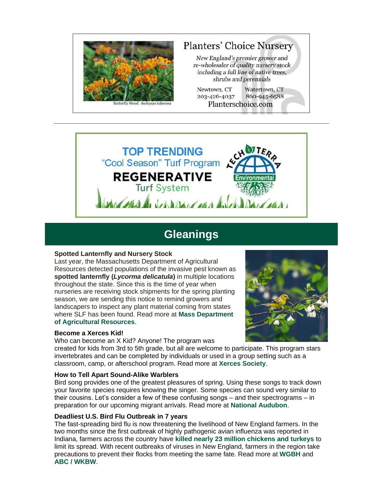

# **Planters' Choice Nursery**

New England's premier grower and re-wholesaler of quality nursery stock including a full line of native trees, shrubs and perennials

Newtown, CT Watertown, CT 203-426-4037 860-945-6588 Planterschoice.com



## **Gleanings**

#### **Spotted Lanternfly and Nursery Stock**

Last year, the Massachusetts Department of Agricultural Resources detected populations of the invasive pest known as **spotted lanternfly (***Lycorma delicatula***)** in multiple locations throughout the state. Since this is the time of year when nurseries are receiving stock shipments for the spring planting season, we are sending this notice to remind growers and landscapers to inspect any plant material coming from states where SLF has been found. Read more at **[Mass Department](https://r20.rs6.net/tn.jsp?f=001AxRGZNAmDPZCwZsdntIzOuRkaaVyl8iRaEj_UcrOXgQ_y1AmX_oEm5P6kUCzCq8ocJcu5FSqMAVww7FJ4G2B1xFQSnF8zbowQg-lTzXi5wGdv7y8EaBxXNzQKGtVuDEfxj-QbbDoi0sfg4-ChiRtAUox-Ol3zYg1M4ac-7p6Zd0=&c=Fw5ZGMRW24Rhnj-qNynE2fHVJJfDToToMev8FR_u8mIoI2JtTRfaxw==&ch=MNVCIwXXAtHs1xvnEQmPc4Y1IJ-lI-DZInDQuHAJye6WdlmpSsX5WA==)  [of Agricultural Resources](https://r20.rs6.net/tn.jsp?f=001AxRGZNAmDPZCwZsdntIzOuRkaaVyl8iRaEj_UcrOXgQ_y1AmX_oEm5P6kUCzCq8ocJcu5FSqMAVww7FJ4G2B1xFQSnF8zbowQg-lTzXi5wGdv7y8EaBxXNzQKGtVuDEfxj-QbbDoi0sfg4-ChiRtAUox-Ol3zYg1M4ac-7p6Zd0=&c=Fw5ZGMRW24Rhnj-qNynE2fHVJJfDToToMev8FR_u8mIoI2JtTRfaxw==&ch=MNVCIwXXAtHs1xvnEQmPc4Y1IJ-lI-DZInDQuHAJye6WdlmpSsX5WA==)**.

#### **Become a Xerces Kid!**

Who can become an X Kid? Anyone! The program was



created for kids from 3rd to 5th grade, but all are welcome to participate. This program stars invertebrates and can be completed by individuals or used in a group setting such as a classroom, camp, or afterschool program. Read more at **[Xerces Society](https://r20.rs6.net/tn.jsp?f=001AxRGZNAmDPZCwZsdntIzOuRkaaVyl8iRaEj_UcrOXgQ_y1AmX_oEm5P6kUCzCq8oBwWgcoUooRPwboNneR3aXsl-yDf3r5Q_vuRBvqHrRNXxhW8_kG8qOpQWDYbPaollpsJYD3HodNwdGuzWXsEMjA==&c=Fw5ZGMRW24Rhnj-qNynE2fHVJJfDToToMev8FR_u8mIoI2JtTRfaxw==&ch=MNVCIwXXAtHs1xvnEQmPc4Y1IJ-lI-DZInDQuHAJye6WdlmpSsX5WA==)**.

#### **How to Tell Apart Sound-Alike Warblers**

Bird song provides one of the greatest pleasures of spring. Using these songs to track down your favorite species requires knowing the singer. Some species can sound very similar to their cousins. Let's consider a few of these confusing songs – and their spectrograms – in preparation for our upcoming migrant arrivals. Read more at **[National Audubon](https://r20.rs6.net/tn.jsp?f=001AxRGZNAmDPZCwZsdntIzOuRkaaVyl8iRaEj_UcrOXgQ_y1AmX_oEm5P6kUCzCq8omy4smkS_ANH28PAGcgFQ78MVX_86Xjjbbta9CFZ3kT3lSslPO51YJuR2Fzx5bKn7rp-JHN3a--3USHDtge1LSduSxcfPQfRjhfku5dOo0JhhH9oCXkDkYQu0Z-8qA_4v2IrgdviTEp3dOgWKKnyJDwJA0YLXiumkR_5kbgATeRExLej9d25mm0fI-qTJkdj7ZbvziMhdHJwbNLz2jGZR3i3rm3qfi0-okMuavHQ9lf3PVANQKXDwY-cObsxLFf1qXk0um0dvXdgJGClTfKxDKbmLBoWqiifLLKTHPHmLuVZQT1cKmYRF55Q3ypNGfLo9ax_rzdJnHHNBpjOn23TNtruoiduxdlJjKP94m1FKSnmzPpIYjsvjsHWLb_kpdqmNw8wewXpMnYGxyaP36dJwiV5ifURoL-AdA4IYIebwbq8=&c=Fw5ZGMRW24Rhnj-qNynE2fHVJJfDToToMev8FR_u8mIoI2JtTRfaxw==&ch=MNVCIwXXAtHs1xvnEQmPc4Y1IJ-lI-DZInDQuHAJye6WdlmpSsX5WA==)**.

#### **Deadliest U.S. Bird Flu Outbreak in 7 years**

The fast-spreading bird flu is now threatening the livelihood of New England farmers. In the two months since the first outbreak of highly pathogenic avian influenza was reported in Indiana, farmers across the country have **[killed nearly 23 million chickens and turkeys](https://r20.rs6.net/tn.jsp?f=001AxRGZNAmDPZCwZsdntIzOuRkaaVyl8iRaEj_UcrOXgQ_y1AmX_oEm5P6kUCzCq8onJCR2UZWWMwZRhonzXrH0EgV_Oq6mBkzXIVi9kWyF7L8slo_5r9A2mRw1tjnFE19K9dwJ9bhENAt8jYEnd58ZtoN4Jxg1JQ-txV6YRnBXh4gFTY9f5olrpqSNhQEHjseNIpJ41OGwn8=&c=Fw5ZGMRW24Rhnj-qNynE2fHVJJfDToToMev8FR_u8mIoI2JtTRfaxw==&ch=MNVCIwXXAtHs1xvnEQmPc4Y1IJ-lI-DZInDQuHAJye6WdlmpSsX5WA==)** to limit its spread. With recent outbreaks of viruses in New England, farmers in the region take precautions to prevent their flocks from meeting the same fate. Read more at **[WGBH](https://r20.rs6.net/tn.jsp?f=001AxRGZNAmDPZCwZsdntIzOuRkaaVyl8iRaEj_UcrOXgQ_y1AmX_oEm5P6kUCzCq8o5XoGDAb-YTJJL9xQzhfPXoWo3dUN5Cf33On0h571cdlRQy670Q1UzA8GC4PrSX1uKnZngyEsc90jDFiKeg9qe152wuQbQroMJUous0f0zF_lgk6E8NzCzzZU7_1ZWRgI574LIAHXcpoVdKM-AcCEN2Mn0BBFiaAgiVV4YmAu0D9gR4RwJ6t9u2DGn4iQvPxp-r02_gf5fGmY1fec1TEQ-w==&c=Fw5ZGMRW24Rhnj-qNynE2fHVJJfDToToMev8FR_u8mIoI2JtTRfaxw==&ch=MNVCIwXXAtHs1xvnEQmPc4Y1IJ-lI-DZInDQuHAJye6WdlmpSsX5WA==)** and **[ABC / WKBW](https://r20.rs6.net/tn.jsp?f=001AxRGZNAmDPZCwZsdntIzOuRkaaVyl8iRaEj_UcrOXgQ_y1AmX_oEm5P6kUCzCq8oiIkos14vDC4s1c5_DwArXa3KrfVisC1lmKSrkjopPUb01uzzd4TiYlYJgJZBOrxX6SLd9NnVAZB7yT2gNDXQIBzGOGjwfQTOANannQfDeRCbYRPWkNuF8YEWOKr3FFvS7OonarShBPH0XADWHQuWS4dYWDuQU4NSO2jjz_XWlixLGNVWGqTpbq-FUOiks6DiDvWm6BMX8wUeQgFFDPsHFUYk-syb1QuQ&c=Fw5ZGMRW24Rhnj-qNynE2fHVJJfDToToMev8FR_u8mIoI2JtTRfaxw==&ch=MNVCIwXXAtHs1xvnEQmPc4Y1IJ-lI-DZInDQuHAJye6WdlmpSsX5WA==)**.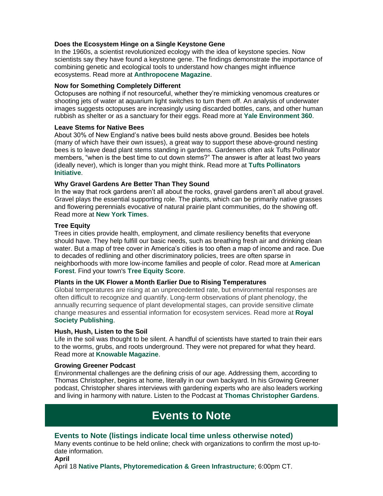#### **Does the Ecosystem Hinge on a Single Keystone Gene**

In the 1960s, a scientist revolutionized ecology with the idea of keystone species. Now scientists say they have found a keystone gene. The findings demonstrate the importance of combining genetic and ecological tools to understand how changes might influence ecosystems. Read more at **[Anthropocene Magazine](https://r20.rs6.net/tn.jsp?f=001AxRGZNAmDPZCwZsdntIzOuRkaaVyl8iRaEj_UcrOXgQ_y1AmX_oEm5P6kUCzCq8ojuZ_l9BuxnIPqDSk7ID1lsf9WYmNGO_6ACKkPAlYXq9S6CkFO5PD5_gYkqwbwBzSC3kdbiPMovf6N1RisvCNrCza_Tu2ILaPUfho7c1EI5N0ph5-uyi3Ucy5y7pGvYOmaDuNu-47VJnYxthsPfH47tNh74cBG5kqCKNAL-ytt5RfkBd5r9DTM5tnQieMPrUL1gDCY-cb3z0k-eeR4sccCEenEuLY7IWDlcm730_SbcnKlrVxvkHjwrsJBH5zfVNiL_D8hIvIsKXc-Zgk0vOOrmQCA9ro7wPIwmDHjB5-x0qxr17HDltb34QmnP5g296fTazNqvr18Uk_2QfbTo5ZIwbOFOouDaYj1ucCcSkDP18=&c=Fw5ZGMRW24Rhnj-qNynE2fHVJJfDToToMev8FR_u8mIoI2JtTRfaxw==&ch=MNVCIwXXAtHs1xvnEQmPc4Y1IJ-lI-DZInDQuHAJye6WdlmpSsX5WA==)**.

#### **Now for Something Completely Different**

Octopuses are nothing if not resourceful, whether they're mimicking venomous creatures or shooting jets of water at aquarium light switches to turn them off. An analysis of underwater images suggests octopuses are increasingly using discarded bottles, cans, and other human rubbish as shelter or as a sanctuary for their eggs. Read more at **[Yale Environment 360](https://r20.rs6.net/tn.jsp?f=001AxRGZNAmDPZCwZsdntIzOuRkaaVyl8iRaEj_UcrOXgQ_y1AmX_oEm5P6kUCzCq8oTDzYBxgr-5aCWmLqJx1rO93u8IixTVHgUW7Gt8LP9lahrHKCxlBwAZKkHkIuqpLJLdVSmPZShgqDgTO_OEYySbYuW5lJg_JcDCjUrY1pNnml1VEu72uonJkSdbMSzhYVErv68TRo5ot4Z9YgKRhgGIHjbrtj4YrZfQERf7uRrfs=&c=Fw5ZGMRW24Rhnj-qNynE2fHVJJfDToToMev8FR_u8mIoI2JtTRfaxw==&ch=MNVCIwXXAtHs1xvnEQmPc4Y1IJ-lI-DZInDQuHAJye6WdlmpSsX5WA==)**.

#### **Leave Stems for Native Bees**

About 30% of New England's native bees build nests above ground. Besides bee hotels (many of which have their own issues), a great way to support these above-ground nesting bees is to leave dead plant stems standing in gardens. Gardeners often ask Tufts Pollinator members, "when is the best time to cut down stems?" The answer is after at least two years (ideally never), which is longer than you might think. Read more at **[Tufts Pollinators](https://r20.rs6.net/tn.jsp?f=001AxRGZNAmDPZCwZsdntIzOuRkaaVyl8iRaEj_UcrOXgQ_y1AmX_oEm5P6kUCzCq8o2Xu3XMRghdM0zg07qlp5wpFtuHsBB_WZEgv_1hmLTkUW8NWXpZOBZhA2zGdjkfYpvMsp2bKVgHEskf_VfkT7gf7hEOMWmEixyPn_WprrPEWvWYMAHs7VoGijOFAhgymkGkQZCDQbhEMj1njP2Z2v3Y29D3jxZYwVKWH0qha5hWHFRiwkpCUWNsVcK2-qX4YsFEVckolLFtUjjv7amQj8eY3NTyW7-S5wwFs5kGXJa_SQ_tX36nPZBxGj9NhcUQlADlMzAqosbes8dR6TrlsZEg==&c=Fw5ZGMRW24Rhnj-qNynE2fHVJJfDToToMev8FR_u8mIoI2JtTRfaxw==&ch=MNVCIwXXAtHs1xvnEQmPc4Y1IJ-lI-DZInDQuHAJye6WdlmpSsX5WA==)  [Initiative](https://r20.rs6.net/tn.jsp?f=001AxRGZNAmDPZCwZsdntIzOuRkaaVyl8iRaEj_UcrOXgQ_y1AmX_oEm5P6kUCzCq8o2Xu3XMRghdM0zg07qlp5wpFtuHsBB_WZEgv_1hmLTkUW8NWXpZOBZhA2zGdjkfYpvMsp2bKVgHEskf_VfkT7gf7hEOMWmEixyPn_WprrPEWvWYMAHs7VoGijOFAhgymkGkQZCDQbhEMj1njP2Z2v3Y29D3jxZYwVKWH0qha5hWHFRiwkpCUWNsVcK2-qX4YsFEVckolLFtUjjv7amQj8eY3NTyW7-S5wwFs5kGXJa_SQ_tX36nPZBxGj9NhcUQlADlMzAqosbes8dR6TrlsZEg==&c=Fw5ZGMRW24Rhnj-qNynE2fHVJJfDToToMev8FR_u8mIoI2JtTRfaxw==&ch=MNVCIwXXAtHs1xvnEQmPc4Y1IJ-lI-DZInDQuHAJye6WdlmpSsX5WA==)**.

#### **Why Gravel Gardens Are Better Than They Sound**

In the way that rock gardens aren't all about the rocks, gravel gardens aren't all about gravel. Gravel plays the essential supporting role. The plants, which can be primarily native grasses and flowering perennials evocative of natural prairie plant communities, do the showing off. Read more at **[New York Times](https://r20.rs6.net/tn.jsp?f=001AxRGZNAmDPZCwZsdntIzOuRkaaVyl8iRaEj_UcrOXgQ_y1AmX_oEm5P6kUCzCq8oVPhFLIOUDImv09v86XTKGN-oUYp4Z6fJWWzTeoAPcJ3LU6tmWIkcZwv4gCwasBpsIW0O40NNY6mqeYIVKU4sj7hpydJ9osHxXoizAQgJkw4OIbNtLmPNldirvrSNLIgE4s-9XWEFe8IgUiy5C5u_ug==&c=Fw5ZGMRW24Rhnj-qNynE2fHVJJfDToToMev8FR_u8mIoI2JtTRfaxw==&ch=MNVCIwXXAtHs1xvnEQmPc4Y1IJ-lI-DZInDQuHAJye6WdlmpSsX5WA==)**.

#### **Tree Equity**

Trees in cities provide health, employment, and climate resiliency benefits that everyone should have. They help fulfill our basic needs, such as breathing fresh air and drinking clean water. But a map of tree cover in America's cities is too often a map of income and race. Due to decades of redlining and other discriminatory policies, trees are often sparse in neighborhoods with more low-income families and people of color. Read more at **[American](https://r20.rs6.net/tn.jsp?f=001AxRGZNAmDPZCwZsdntIzOuRkaaVyl8iRaEj_UcrOXgQ_y1AmX_oEm5P6kUCzCq8oSkv-zuOG7EaM6T_ce8lbStQiPet0Q6odHMmJI5LmCPDblKO4KaqnI9mxLN-7rHnAvG4P-e07OcaJTYfARTsr6yzMYUhjLsDoYQpedeFGMe9fsAarzxmlfPZxw_F-pqMC&c=Fw5ZGMRW24Rhnj-qNynE2fHVJJfDToToMev8FR_u8mIoI2JtTRfaxw==&ch=MNVCIwXXAtHs1xvnEQmPc4Y1IJ-lI-DZInDQuHAJye6WdlmpSsX5WA==)  [Forest](https://r20.rs6.net/tn.jsp?f=001AxRGZNAmDPZCwZsdntIzOuRkaaVyl8iRaEj_UcrOXgQ_y1AmX_oEm5P6kUCzCq8oSkv-zuOG7EaM6T_ce8lbStQiPet0Q6odHMmJI5LmCPDblKO4KaqnI9mxLN-7rHnAvG4P-e07OcaJTYfARTsr6yzMYUhjLsDoYQpedeFGMe9fsAarzxmlfPZxw_F-pqMC&c=Fw5ZGMRW24Rhnj-qNynE2fHVJJfDToToMev8FR_u8mIoI2JtTRfaxw==&ch=MNVCIwXXAtHs1xvnEQmPc4Y1IJ-lI-DZInDQuHAJye6WdlmpSsX5WA==)**. Find your town's **[Tree Equity Score](https://r20.rs6.net/tn.jsp?f=001AxRGZNAmDPZCwZsdntIzOuRkaaVyl8iRaEj_UcrOXgQ_y1AmX_oEm5P6kUCzCq8o1WCXO0RltLtwg-d4oo8XRzAkP4O3QkK8i6wG4jUw7l9ndF3N-u03i0eV900AD8VGj_pQEc_R5tYlwGN9pwlX-K9UoJwA7CCOMUAOf8rACPBlC1CsBL04xmeoEvdoSC1_&c=Fw5ZGMRW24Rhnj-qNynE2fHVJJfDToToMev8FR_u8mIoI2JtTRfaxw==&ch=MNVCIwXXAtHs1xvnEQmPc4Y1IJ-lI-DZInDQuHAJye6WdlmpSsX5WA==)**.

#### **Plants in the UK Flower a Month Earlier Due to Rising Temperatures**

Global temperatures are rising at an unprecedented rate, but environmental responses are often difficult to recognize and quantify. Long-term observations of plant phenology, the annually recurring sequence of plant developmental stages, can provide sensitive climate change measures and essential information for ecosystem services. Read more at **[Royal](https://r20.rs6.net/tn.jsp?f=001AxRGZNAmDPZCwZsdntIzOuRkaaVyl8iRaEj_UcrOXgQ_y1AmX_oEm5P6kUCzCq8o1FqRSOvz-7T7zln_31lMkwJccSLwuIEMlg0RAP-dHi-d5oUVy7J6BOZaK_t8KlQwIIahdPPKbZI5IZMuaeVIEmzhZnOsshHMxS27JO3vG2lz2bvRwGsT_sj5t9mVKE4AyPReeUsU-OI=&c=Fw5ZGMRW24Rhnj-qNynE2fHVJJfDToToMev8FR_u8mIoI2JtTRfaxw==&ch=MNVCIwXXAtHs1xvnEQmPc4Y1IJ-lI-DZInDQuHAJye6WdlmpSsX5WA==)  [Society Publishing](https://r20.rs6.net/tn.jsp?f=001AxRGZNAmDPZCwZsdntIzOuRkaaVyl8iRaEj_UcrOXgQ_y1AmX_oEm5P6kUCzCq8o1FqRSOvz-7T7zln_31lMkwJccSLwuIEMlg0RAP-dHi-d5oUVy7J6BOZaK_t8KlQwIIahdPPKbZI5IZMuaeVIEmzhZnOsshHMxS27JO3vG2lz2bvRwGsT_sj5t9mVKE4AyPReeUsU-OI=&c=Fw5ZGMRW24Rhnj-qNynE2fHVJJfDToToMev8FR_u8mIoI2JtTRfaxw==&ch=MNVCIwXXAtHs1xvnEQmPc4Y1IJ-lI-DZInDQuHAJye6WdlmpSsX5WA==)**.

#### **Hush, Hush, Listen to the Soil**

Life in the soil was thought to be silent. A handful of scientists have started to train their ears to the worms, grubs, and roots underground. They were not prepared for what they heard. Read more at **[Knowable Magazine](https://r20.rs6.net/tn.jsp?f=001AxRGZNAmDPZCwZsdntIzOuRkaaVyl8iRaEj_UcrOXgQ_y1AmX_oEm5P6kUCzCq8okIP0X9-U5J0eZJhaZQkC1evCfKTwdlVtXPF1-pJzje7DbOfbeCdxzpQqaGkhWvzfG1UxdYhHXq6MmX8xxlF66iLJ546tV9KTHh9SIsruc0nBnTu9h_JhtH7OBoLrLTGNqMOoLFsYhBbNfZgbexgOSm5FQMdZ4g4E7zWyGb-Gpm1OtU-UlKULzrxnf42ZZDlswPOZCsLbqqDo06LRnpPvbwb1-MXmvkehpOjU5SKlQ-TvXGEpdv5qZtBuFAvZl4m3XE82DC1VRTL-xOTOFOb6Z8m3UPRqQGpD&c=Fw5ZGMRW24Rhnj-qNynE2fHVJJfDToToMev8FR_u8mIoI2JtTRfaxw==&ch=MNVCIwXXAtHs1xvnEQmPc4Y1IJ-lI-DZInDQuHAJye6WdlmpSsX5WA==)**.

#### **Growing Greener Podcast**

Environmental challenges are the defining crisis of our age. Addressing them, according to Thomas Christopher, begins at home, literally in our own backyard. In his Growing Greener podcast, Christopher shares interviews with gardening experts who are also leaders working and living in harmony with nature. Listen to the Podcast at **[Thomas Christopher Gardens](https://r20.rs6.net/tn.jsp?f=001AxRGZNAmDPZCwZsdntIzOuRkaaVyl8iRaEj_UcrOXgQ_y1AmX_oEm2tnAs8fzwFKAbShtaJO_Af1kPtyaQ1A-3tK0sAkZuxCMGnAQxLGF4KAA3mUuVbjEWX-0CEJVzcglfep_duGbJyByzIOzfEE0C84ysLOqoxJMHI64nic2zzclQ6WHOxyyw==&c=Fw5ZGMRW24Rhnj-qNynE2fHVJJfDToToMev8FR_u8mIoI2JtTRfaxw==&ch=MNVCIwXXAtHs1xvnEQmPc4Y1IJ-lI-DZInDQuHAJye6WdlmpSsX5WA==)**.

## **Events to Note**

#### **Events to Note (listings indicate local time unless otherwise noted)**

Many events continue to be held online; check with organizations to confirm the most up-todate information.

**April** 

April 18 **[Native Plants, Phytoremedication & Green Infrastructure](https://r20.rs6.net/tn.jsp?f=001AxRGZNAmDPZCwZsdntIzOuRkaaVyl8iRaEj_UcrOXgQ_y1AmX_oEm5P6kUCzCq8oSHAoX6N7XW7iyoMTH2ba9miyPkXG32Ga8Q433Lv1K9fPKXg7M0QUpVO_1neaKUkw2ykJodjUgMQQJo0NCEJK9HMZ1mpqRcoMGs7orDKfFmv0PlmHLNjsRa8lFJq8et5S&c=Fw5ZGMRW24Rhnj-qNynE2fHVJJfDToToMev8FR_u8mIoI2JtTRfaxw==&ch=MNVCIwXXAtHs1xvnEQmPc4Y1IJ-lI-DZInDQuHAJye6WdlmpSsX5WA==)**; 6:00pm CT.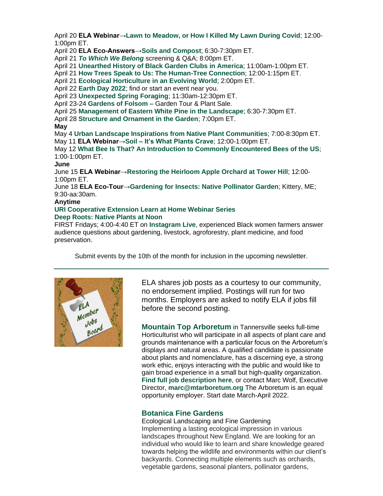April 20 **ELA Webinar[→Lawn to Meadow, or How I Killed My Lawn During Covid](https://r20.rs6.net/tn.jsp?f=001AxRGZNAmDPZCwZsdntIzOuRkaaVyl8iRaEj_UcrOXgQ_y1AmX_oEm2FkrXpvCGQKpOn2adZjPp1Kx7o1umzwftoAM22NFKspgYwfSb-8cqdJmG4B8qmLbU43fR30HTv8ZNIWasV-huDUKgnK7uh7HggIHId_dui2j1gnYszE3z9BMo0NpHPY9nz3cE-bV74r&c=Fw5ZGMRW24Rhnj-qNynE2fHVJJfDToToMev8FR_u8mIoI2JtTRfaxw==&ch=MNVCIwXXAtHs1xvnEQmPc4Y1IJ-lI-DZInDQuHAJye6WdlmpSsX5WA==)**; 12:00- 1:00pm ET.

April 20 **ELA Eco-Answers[→Soils and Compost](https://r20.rs6.net/tn.jsp?f=001AxRGZNAmDPZCwZsdntIzOuRkaaVyl8iRaEj_UcrOXgQ_y1AmX_oEm5XsSU7wB9-9XTM0W7jdUSpZOwud4wa7uQ7BfF4vAyilwsSIvtfcOVpkiUfZEOoGrqQQk4LMl1bgpZgII3oq98hlZyi2QKvPG9B-TTNiSmg82wcEoAfPYetdT-EmKvOE_S6-SI5AnNs6fd0vany5Hv4=&c=Fw5ZGMRW24Rhnj-qNynE2fHVJJfDToToMev8FR_u8mIoI2JtTRfaxw==&ch=MNVCIwXXAtHs1xvnEQmPc4Y1IJ-lI-DZInDQuHAJye6WdlmpSsX5WA==)**; 6:30-7:30pm ET.

April 21 *[To Which We Belong](https://r20.rs6.net/tn.jsp?f=001AxRGZNAmDPZCwZsdntIzOuRkaaVyl8iRaEj_UcrOXgQ_y1AmX_oEm5P6kUCzCq8oNonoy-QbYEHVc8DK_2ZS_Fgn3B3pnyLq0TtldVcCktDFOIvYeMCq9zd7kYDABzaga3F1DbQ1i3Of7JebTbY2-jrAz9GFwBZDhsrxQCMOHEsc85dBvg8Y1w==&c=Fw5ZGMRW24Rhnj-qNynE2fHVJJfDToToMev8FR_u8mIoI2JtTRfaxw==&ch=MNVCIwXXAtHs1xvnEQmPc4Y1IJ-lI-DZInDQuHAJye6WdlmpSsX5WA==)* screening & Q&A; 8:00pm ET.

April 21 **[Unearthed History of Black Garden Clubs in America](https://r20.rs6.net/tn.jsp?f=001AxRGZNAmDPZCwZsdntIzOuRkaaVyl8iRaEj_UcrOXgQ_y1AmX_oEm5P6kUCzCq8ohK6xHGzRtwbt4nUovb3149dktO36LckMhKJwnKPjbMr8Z6lROig2wvDZQUMB1c-mGLYbGTAg6PHLC293nnDmD_cTx94maPREC6qc5n7gO5aNBugdVNfpdY9KcpNVrNYmqBeoZsIDk8s=&c=Fw5ZGMRW24Rhnj-qNynE2fHVJJfDToToMev8FR_u8mIoI2JtTRfaxw==&ch=MNVCIwXXAtHs1xvnEQmPc4Y1IJ-lI-DZInDQuHAJye6WdlmpSsX5WA==)**; 11:00am-1:00pm ET.

April 21 **[How Trees Speak to Us: The Human-Tree Connection](https://r20.rs6.net/tn.jsp?f=001AxRGZNAmDPZCwZsdntIzOuRkaaVyl8iRaEj_UcrOXgQ_y1AmX_oEm5P6kUCzCq8oM_4Emt91BbniLBMN1k_tPLi1tOtItlOnm3VGbAv4QVudx1R1KMMNTuVlxlatQFV-ejjmOWZD__TEfDL_s3vQdBxCyg_XSooEF0zeYqqRFHqaF_BbG2gfQpJk7tzGxNsJ2zmSWVsv_EPUx7cAVAn3ucCg_4CmsBXUaCKawneNxYbjsCCxafbzqwscguiYgoYhegMuuaZq4rjQXpmZJpQuiGN1lwIprOGBUVxLoAxPRRzLVB40sjsrN9wT7uclgIkWFwEJVWYtQAUB8zXMruukFy3ZCuc7LE23&c=Fw5ZGMRW24Rhnj-qNynE2fHVJJfDToToMev8FR_u8mIoI2JtTRfaxw==&ch=MNVCIwXXAtHs1xvnEQmPc4Y1IJ-lI-DZInDQuHAJye6WdlmpSsX5WA==)**; 12:00-1:15pm ET.

April 21 **[Ecological Horticulture in an Evolving World](https://r20.rs6.net/tn.jsp?f=001AxRGZNAmDPZCwZsdntIzOuRkaaVyl8iRaEj_UcrOXgQ_y1AmX_oEm5P6kUCzCq8o62jR30h4olqzo-LRCoLDvEXTr4FDfMxtLpVDGRrkHTfP7DB80aslEmAzQhPx98zV86ox1TWJxRwjgbT-EXDJPm3QU8LY66XTwZv6BK9CPBTtLF9uV9n5JmENJyJPcLpdmBugYOddmRxuy4cYD4Vu1n7-YfgUh5K8CRP8fNbQ8IA-4EapL4SM9rsfSuzAQe0s0Jcfs21qhAiOYBlfUlflTNAa1cfRpZigWj1gMf-POQOi3Uab_IhJrQ==&c=Fw5ZGMRW24Rhnj-qNynE2fHVJJfDToToMev8FR_u8mIoI2JtTRfaxw==&ch=MNVCIwXXAtHs1xvnEQmPc4Y1IJ-lI-DZInDQuHAJye6WdlmpSsX5WA==)**; 2:00pm ET.

April 22 **[Earth Day 2022](https://r20.rs6.net/tn.jsp?f=001AxRGZNAmDPZCwZsdntIzOuRkaaVyl8iRaEj_UcrOXgQ_y1AmX_oEm2FkrXpvCGQK2U2fmkEwnJuhNfZ_Mwv46610gIYM_5204OH2c8I_zOplFMq9-WxDYik65UeBDq3_JlzO7zzItKtBOrPuDL5kQs6XIwwc0IXX3FbueHNrZKQ=&c=Fw5ZGMRW24Rhnj-qNynE2fHVJJfDToToMev8FR_u8mIoI2JtTRfaxw==&ch=MNVCIwXXAtHs1xvnEQmPc4Y1IJ-lI-DZInDQuHAJye6WdlmpSsX5WA==)**; find or start an event near you.

April 23 **[Unexpected Spring Foraging](https://r20.rs6.net/tn.jsp?f=001AxRGZNAmDPZCwZsdntIzOuRkaaVyl8iRaEj_UcrOXgQ_y1AmX_oEm2FkrXpvCGQKaDzErCmPjCVlYnO6PLPBbMOt-U1syoMhrGqKwvqgWQbsGyB8ld7oVacCV6Ry7mbTR87EprDLtMm588pJXnv-ft2UAF2t1yWAt9RvJm6XtB_oEgbOO-iqG63PviEhEfThKDR5051Y525iUBhwyOKM-SAkWWcLXB9hEnIN7nViWmMEkOM5I7Bi68we6uXRrnWfMgHzSmj6Ko7SyHSx9bQlaWZTLIvT1ag-EghK9t5UWY45Jp1ANf3_8tyDBXrB8F8VmXqxfRHlK1fQqUSyf29ZRuikf8ZuIXb2X22J_2ZEVu5Rx2KATCkuZiuN0IiPlekO&c=Fw5ZGMRW24Rhnj-qNynE2fHVJJfDToToMev8FR_u8mIoI2JtTRfaxw==&ch=MNVCIwXXAtHs1xvnEQmPc4Y1IJ-lI-DZInDQuHAJye6WdlmpSsX5WA==)**; 11:30am-12:30pm ET.

April 23-24 **[Gardens of Folsom](https://r20.rs6.net/tn.jsp?f=001AxRGZNAmDPZCwZsdntIzOuRkaaVyl8iRaEj_UcrOXgQ_y1AmX_oEm2FkrXpvCGQKNSFNIkx-B7lL0vTzi7kk74EuHSEQT8alyeyTcENRPkAvETb4Sh3bZlkk0n0PoqszlbGwSNIl3nx6jPLboxRNyQ==&c=Fw5ZGMRW24Rhnj-qNynE2fHVJJfDToToMev8FR_u8mIoI2JtTRfaxw==&ch=MNVCIwXXAtHs1xvnEQmPc4Y1IJ-lI-DZInDQuHAJye6WdlmpSsX5WA==)** – Garden Tour & Plant Sale.

April 25 **[Management of Eastern White Pine in the Landscape](https://r20.rs6.net/tn.jsp?f=001AxRGZNAmDPZCwZsdntIzOuRkaaVyl8iRaEj_UcrOXgQ_y1AmX_oEm2FkrXpvCGQKbJgNpzKlj32vd1S9L73HPNAChdA_bzAS3ePf1vyDoQKTR-hwuugcgqIw7OnN0TxMg7f39pa8tF7P76Ef0sTGvHUmYFFcvceCBSz4w0YpPx6VVPvlTtylRoLvcreAUvpM-wwdar6IqJouOpXRRZ_e4J0ElA85l1ciL8rh92GMv8No0u8hcxVmTbuzEKk7zKXY819KQj4q0rJ4HZwRGl36Wg==&c=Fw5ZGMRW24Rhnj-qNynE2fHVJJfDToToMev8FR_u8mIoI2JtTRfaxw==&ch=MNVCIwXXAtHs1xvnEQmPc4Y1IJ-lI-DZInDQuHAJye6WdlmpSsX5WA==)**; 6:30-7:30pm ET.

April 28 **[Structure and Ornament in the Garden](https://r20.rs6.net/tn.jsp?f=001AxRGZNAmDPZCwZsdntIzOuRkaaVyl8iRaEj_UcrOXgQ_y1AmX_oEm5P6kUCzCq8oL8YP3Lsukf6waSi7oLLPsNSy33JvMIl6eX2hlljpTe1Xm9EL2SuTEqKPv_r6n9XSwu_gsxw0M87dbjup_8G8m4fOUG3djzDw6QMQRQgfKA_xaynCRwrYJBZVaZXdClwlwFC6X6-SqC2_3mdHi72H7G0fDWAq5M6o9gGLUrf_-XgKz3M5l675UqWRoDSRgBUca94ZLTftxTf7y8wSgV5yE_JKCRv93jKb&c=Fw5ZGMRW24Rhnj-qNynE2fHVJJfDToToMev8FR_u8mIoI2JtTRfaxw==&ch=MNVCIwXXAtHs1xvnEQmPc4Y1IJ-lI-DZInDQuHAJye6WdlmpSsX5WA==)**; 7:00pm ET.

#### **May**

May 4 **[Urban Landscape Inspirations from Native Plant Communities](https://r20.rs6.net/tn.jsp?f=001AxRGZNAmDPZCwZsdntIzOuRkaaVyl8iRaEj_UcrOXgQ_y1AmX_oEm2FkrXpvCGQKVvUXURyQaUvHypAHapzTaBhMOLRsOKfPtq1pl3NgpB5JgW8P_CEnD7TVmC095dqZzGds7ggcYbiw_1Rn7Z9lNjXX7EnLm_l6lWwJ2f-mBVRiepF1gvKGKQ==&c=Fw5ZGMRW24Rhnj-qNynE2fHVJJfDToToMev8FR_u8mIoI2JtTRfaxw==&ch=MNVCIwXXAtHs1xvnEQmPc4Y1IJ-lI-DZInDQuHAJye6WdlmpSsX5WA==)**; 7:00-8:30pm ET. May 11 **ELA Webinar→Soil – [It's What Plants Crave](https://r20.rs6.net/tn.jsp?f=001AxRGZNAmDPZCwZsdntIzOuRkaaVyl8iRaEj_UcrOXgQ_y1AmX_oEm2FkrXpvCGQK5gn5gUuBcG2vc_82wuOcJemTuFxgDkzqE5zAB8W2jE950ZmWDiULmtdd-jLaWo-BpCBdPMNc11rRyR-ckyVHPW9vXqZ-OsyiYMPB9loR01aAJ_9pxk2etCQqzNNTahuErrH-YPKFpfI=&c=Fw5ZGMRW24Rhnj-qNynE2fHVJJfDToToMev8FR_u8mIoI2JtTRfaxw==&ch=MNVCIwXXAtHs1xvnEQmPc4Y1IJ-lI-DZInDQuHAJye6WdlmpSsX5WA==)**; 12:00-1:00pm ET.

May 12 **[What Bee Is That? An Introduction to Commonly Encountered Bees of the US](https://r20.rs6.net/tn.jsp?f=001AxRGZNAmDPZCwZsdntIzOuRkaaVyl8iRaEj_UcrOXgQ_y1AmX_oEm2FkrXpvCGQKlqmksSuBvgx1XZx9ZYU4I8WDEzbHu20oUuDG3tXrmmRwbeFIt_MtUTAWFux-iwLNs1ernTc9xAg8xXhbUikIzq8FI4sJH1iHAtHNmhAzlVmQ_rbeoSXE5lB92OVGTzXl9C5wPtZ_P643jrOJy3OgI9zxq9lB14y9QHjB85H5Sp3jF3ZMgampXw==&c=Fw5ZGMRW24Rhnj-qNynE2fHVJJfDToToMev8FR_u8mIoI2JtTRfaxw==&ch=MNVCIwXXAtHs1xvnEQmPc4Y1IJ-lI-DZInDQuHAJye6WdlmpSsX5WA==)**; 1:00-1:00pm ET.

#### **June**

June 15 **ELA Webinar[→Restoring the Heirloom Apple Orchard at Tower Hill](https://r20.rs6.net/tn.jsp?f=001AxRGZNAmDPZCwZsdntIzOuRkaaVyl8iRaEj_UcrOXgQ_y1AmX_oEm5XsSU7wB9-9hIMBHT16FdQJ0geFuS7FyXpU_O6t2VLCp2FFNbgGBuz3Ryxu1ckTgeZXjzMdgiopkrgAAroQbni9RwLwApzHeF7nPllFlPHqe5tvLAf507frjZvhWj0i_zzqWpDJRtozjstToRXgNtVnL4AVxWQQ6QvrW7Px9EttkqgKPdC3UuE=&c=Fw5ZGMRW24Rhnj-qNynE2fHVJJfDToToMev8FR_u8mIoI2JtTRfaxw==&ch=MNVCIwXXAtHs1xvnEQmPc4Y1IJ-lI-DZInDQuHAJye6WdlmpSsX5WA==)**; 12:00- 1:00pm ET.

June 18 **ELA Eco-Tour[→Gardening for Insects: Native Pollinator Garden](https://r20.rs6.net/tn.jsp?f=001AxRGZNAmDPZCwZsdntIzOuRkaaVyl8iRaEj_UcrOXgQ_y1AmX_oEm565A7AWF5m5VVuMK7p8FjGBcQ_vM8YBxlJJ1BDgwIsdhc3kxA37RRwq0ZFID2jqnOoLeQMzdm3CufoN1TZqNq7Llbp_vsoHh-Z4j2nngO2qiKbV68rJRSVg8UAIFCfhE92DzeNcphAz-OBzwKXexhzcrxZSIwW_9VODxB8mWzvTTCf6vxshk9id8LrZcAcaBg==&c=Fw5ZGMRW24Rhnj-qNynE2fHVJJfDToToMev8FR_u8mIoI2JtTRfaxw==&ch=MNVCIwXXAtHs1xvnEQmPc4Y1IJ-lI-DZInDQuHAJye6WdlmpSsX5WA==)**; Kittery, ME; 9:30-aa:30am.

#### **Anytime**

#### **[URI Cooperative Extension Learn at Home Webinar Series](https://r20.rs6.net/tn.jsp?f=001AFho08mAnEeBmz843iFWK8NKptjui6lRFEStwzlCyIpUGk5-t9o9e7r1DyUwwx1Zr9ncQo5XvcR251wOMS6rhvmkv80tJ_DW2CLG3eZid2f06skFVz0FEQYsW6y1_cJA4Z13vcSjJj0DTe9oidO8dFb-bsexlUvPweU9jEPfoVQ8_rAXBI0XaIfC51ZFSAYU5up4I7Gnk3AG6x6AWiBIyI4ezJ_2LuvvRSCHfRNyURTp0g-DgZ7Rbw==&c=FELuz_3rfOF6ckbIZGoXYyALx-ce3Pd95vX4qveq6z1wABV3wVGjDQ==&ch=uc69vArgMunqwA4qRtremhqjJJzC5bKqRJOhou9QRAZEkHUgBjD5RQ==) [Deep Roots: Native Plants at Noon](https://r20.rs6.net/tn.jsp?f=001AxRGZNAmDPZCwZsdntIzOuRkaaVyl8iRaEj_UcrOXgQ_y1AmX_oEmzsMCxsAMzHn35iglLx1Pd-Q6yudktwOYjaZ6_ddTIzPApnjUULOo4lYvJwUtiN-Zo5ONBAL3YB8zmaYm7egIVtFDButUI_OuXD2BtynKQLS&c=Fw5ZGMRW24Rhnj-qNynE2fHVJJfDToToMev8FR_u8mIoI2JtTRfaxw==&ch=MNVCIwXXAtHs1xvnEQmPc4Y1IJ-lI-DZInDQuHAJye6WdlmpSsX5WA==)**

FIRST Fridays; 4:00-4:40 ET on **[Instagram Live](https://r20.rs6.net/tn.jsp?f=001AxRGZNAmDPZCwZsdntIzOuRkaaVyl8iRaEj_UcrOXgQ_y1AmX_oEm2FkrXpvCGQKa9uJN7A5Wr3198-7VJ8LlFS3e4YpwzHr48CUXojt8xt6DaC3gdtdNB5ntNzcjoE07bDXPe6E5h7VX0XIVorUJwhWLfrbbCN2WpJz-9hgBEY=&c=Fw5ZGMRW24Rhnj-qNynE2fHVJJfDToToMev8FR_u8mIoI2JtTRfaxw==&ch=MNVCIwXXAtHs1xvnEQmPc4Y1IJ-lI-DZInDQuHAJye6WdlmpSsX5WA==)**, experienced Black women farmers answer audience questions about gardening, livestock, agroforestry, plant medicine, and food preservation.

Submit events by the 10th of the month for inclusion in the upcoming newsletter.



ELA shares job posts as a courtesy to our community, no endorsement implied. Postings will run for two months. Employers are asked to notify ELA if jobs fill before the second posting.

**Mountain Top Arboretum** in Tannersville seeks full-time Horticulturist who will participate in all aspects of plant care and grounds maintenance with a particular focus on the Arboretum's displays and natural areas. A qualified candidate is passionate about plants and nomenclature, has a discerning eye, a strong work ethic, enjoys interacting with the public and would like to gain broad experience in a small but high-quality organization. **[Find full job description here](https://r20.rs6.net/tn.jsp?f=001AxRGZNAmDPZCwZsdntIzOuRkaaVyl8iRaEj_UcrOXgQ_y1AmX_oEm2FkrXpvCGQKsCYdLIPgi7Ozhs64PYSSjg4DpkM3lQvrtM-5vvqiTle9pxhLdlMSNJpev5OPCcGr1-R5dKpW_RIR03HZCV7HyV7hP9mWxx3gAiok5JiAT2tDB8V7Pst_TT9i7Hmnf2lS&c=Fw5ZGMRW24Rhnj-qNynE2fHVJJfDToToMev8FR_u8mIoI2JtTRfaxw==&ch=MNVCIwXXAtHs1xvnEQmPc4Y1IJ-lI-DZInDQuHAJye6WdlmpSsX5WA==)**, or contact Marc Wolf, Executive Director, **[marc@mtarboretum.org](mailto:marc@mtarboretum.org)** The Arboretum is an equal opportunity employer. Start date March-April 2022.

#### **Botanica Fine Gardens**

Ecological Landscaping and Fine Gardening Implementing a lasting ecological impression in various landscapes throughout New England. We are looking for an individual who would like to learn and share knowledge geared towards helping the wildlife and environments within our client's backyards. Connecting multiple elements such as orchards, vegetable gardens, seasonal planters, pollinator gardens,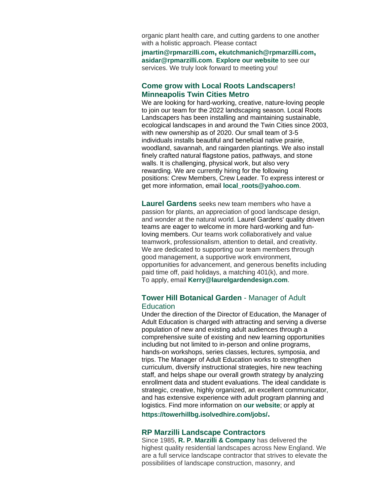organic plant health care, and cutting gardens to one another with a holistic approach. Please contact

**[jmartin@rpmarzilli.com](mailto:jmartin@rpmarzilli.com), [ekutchmanich@rpmarzilli.com](mailto:ekutchmanich@rpmarzilli.com), [asidar@rpmarzilli.com](mailto:asidar@rpmarzilli.com)**[.](mailto:asidar@rpmarzilli.com) **[Explore our website](https://r20.rs6.net/tn.jsp?f=001AxRGZNAmDPZCwZsdntIzOuRkaaVyl8iRaEj_UcrOXgQ_y1AmX_oEm2FkrXpvCGQKtRNisOuzJ242VpKFYGYl5Ay-nQ5w4ZmQRQDoefaVk9E4P4MXld7szcUl9I_Te11AULeS6ftcaXZ5plz31c8sg1f8dGFPsY2v&c=Fw5ZGMRW24Rhnj-qNynE2fHVJJfDToToMev8FR_u8mIoI2JtTRfaxw==&ch=MNVCIwXXAtHs1xvnEQmPc4Y1IJ-lI-DZInDQuHAJye6WdlmpSsX5WA==)** to see our services. We truly look forward to meeting you!

#### **[Come grow with Local Roots Landscapers!](https://r20.rs6.net/tn.jsp?f=001AxRGZNAmDPZCwZsdntIzOuRkaaVyl8iRaEj_UcrOXgQ_y1AmX_oEm2FkrXpvCGQKDek3Ow42UNJxELCxf5hoFSdBJnWk7F1MZvzpVNRSKZ9VAnt0FIR1P7HViimWHwec9ZIal6t-fN8acV3GMQQ3BNEEkNPcMHnG&c=Fw5ZGMRW24Rhnj-qNynE2fHVJJfDToToMev8FR_u8mIoI2JtTRfaxw==&ch=MNVCIwXXAtHs1xvnEQmPc4Y1IJ-lI-DZInDQuHAJye6WdlmpSsX5WA==)  Minneapolis Twin Cities Metro**

We are looking for hard-working, creative, nature-loving people to join our team for the 2022 landscaping season. Local Roots Landscapers has been installing and maintaining sustainable, ecological landscapes in and around the Twin Cities since 2003, with new ownership as of 2020. Our small team of 3-5 individuals installs beautiful and beneficial native prairie, woodland, savannah, and raingarden plantings. We also install finely crafted natural flagstone patios, pathways, and stone walls. It is challenging, physical work, but also very rewarding. We are currently hiring for the following positions: Crew Members, Crew Leader. To express interest or get more information, email **[local\\_roots@yahoo.com](mailto:local_roots@yahoo.com)**.

**[Laurel Gardens](https://r20.rs6.net/tn.jsp?f=001AxRGZNAmDPZCwZsdntIzOuRkaaVyl8iRaEj_UcrOXgQ_y1AmX_oEm2FkrXpvCGQKyL-int8zbTQOJJzzPkRFcClQoqDrX7Mw98-Ba069-2u3hrx21WB835TN4DfwvYitUp5UvpBx5UcBtdMCrOikmUtfiR_oPIWk&c=Fw5ZGMRW24Rhnj-qNynE2fHVJJfDToToMev8FR_u8mIoI2JtTRfaxw==&ch=MNVCIwXXAtHs1xvnEQmPc4Y1IJ-lI-DZInDQuHAJye6WdlmpSsX5WA==)** seeks new team members who have a passion for plants, an appreciation of good landscape design, and wonder at the natural world. Laurel Gardens' quality driven teams are eager to welcome in more hard-working and funloving members. Our teams work collaboratively and value teamwork, professionalism, attention to detail, and creativity. We are dedicated to supporting our team members through good management, a supportive work environment, opportunities for advancement, and generous benefits including paid time off, paid holidays, a matching 401(k), and more. To apply, email **[Kerry@laurelgardendesign.com](mailto:kerry@laurelgardendesign.com)**.

#### **Tower Hill Botanical Garden** - Manager of Adult **Education**

Under the direction of the Director of Education, the Manager of Adult Education is charged with attracting and serving a diverse population of new and existing adult audiences through a comprehensive suite of existing and new learning opportunities including but not limited to in-person and online programs, hands-on workshops, series classes, lectures, symposia, and trips. The Manager of Adult Education works to strengthen curriculum, diversify instructional strategies, hire new teaching staff, and helps shape our overall growth strategy by analyzing enrollment data and student evaluations. The ideal candidate is strategic, creative, highly organized, an excellent communicator, and has extensive experience with adult program planning and logistics. Find more information on **[our website](https://r20.rs6.net/tn.jsp?f=001AxRGZNAmDPZCwZsdntIzOuRkaaVyl8iRaEj_UcrOXgQ_y1AmX_oEmyXG8VbDfRZ_6-RAkSLbryLDHNnCztVuRYAjoKbqd37H-pYxLSAssg08iTOkwIBrzsd8zChHE7c43Wku1w7b9EwUpQ4MtqPo2g==&c=Fw5ZGMRW24Rhnj-qNynE2fHVJJfDToToMev8FR_u8mIoI2JtTRfaxw==&ch=MNVCIwXXAtHs1xvnEQmPc4Y1IJ-lI-DZInDQuHAJye6WdlmpSsX5WA==)**; or apply at **[https://towerhillbg.isolvedhire.com/jobs/](https://r20.rs6.net/tn.jsp?f=001AxRGZNAmDPZCwZsdntIzOuRkaaVyl8iRaEj_UcrOXgQ_y1AmX_oEm5P6kUCzCq8oDx4F2RgjsEHVeiqSe3Ri7135Nbv05rCRnw_Hh8csbk9_b-WFi9uWFQGqalNBV87G00NKKmSQibqgFCrhUnRbmCHqV1HV57hUVps4-cGCh2E=&c=Fw5ZGMRW24Rhnj-qNynE2fHVJJfDToToMev8FR_u8mIoI2JtTRfaxw==&ch=MNVCIwXXAtHs1xvnEQmPc4Y1IJ-lI-DZInDQuHAJye6WdlmpSsX5WA==).**

## **RP Marzilli Landscape Contractors**

#### Since 1985, **[R. P. Marzilli & Company](https://r20.rs6.net/tn.jsp?f=001AxRGZNAmDPZCwZsdntIzOuRkaaVyl8iRaEj_UcrOXgQ_y1AmX_oEm2FkrXpvCGQK9mdqXGTsm0xQjf3HFGCW6DVBjim3WEsUMYRQdPXhh1-NdTHBzW-A-xxProM5Lzd34HHOH_sio9QjjqyaRXp9XA==&c=Fw5ZGMRW24Rhnj-qNynE2fHVJJfDToToMev8FR_u8mIoI2JtTRfaxw==&ch=MNVCIwXXAtHs1xvnEQmPc4Y1IJ-lI-DZInDQuHAJye6WdlmpSsX5WA==)** has delivered the highest quality residential landscapes across New England. We are a full service landscape contractor that strives to elevate the possibilities of landscape construction, masonry, and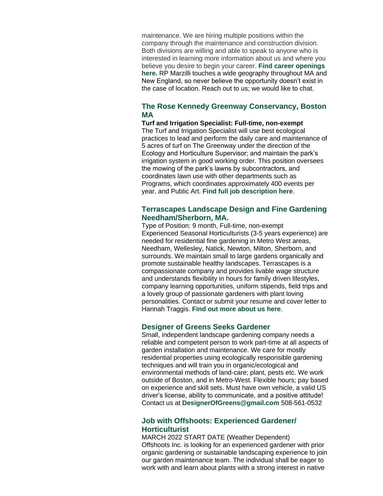maintenance. We are hiring multiple positions within the company through the maintenance and construction division. Both divisions are willing and able to speak to anyone who is interested in learning more information about us and where you believe you desire to begin your career. **[Find career openings](https://r20.rs6.net/tn.jsp?f=001AxRGZNAmDPZCwZsdntIzOuRkaaVyl8iRaEj_UcrOXgQ_y1AmX_oEm2FkrXpvCGQKs54xh6cN13vJTT5B_wU8W_eO5BYYX5UU-JjWg3FOloSf1p2e_zLkREf9bG_zK5_HVyo5ql7L0E0CO0-wMFueI9PYXiFOt5GX&c=Fw5ZGMRW24Rhnj-qNynE2fHVJJfDToToMev8FR_u8mIoI2JtTRfaxw==&ch=MNVCIwXXAtHs1xvnEQmPc4Y1IJ-lI-DZInDQuHAJye6WdlmpSsX5WA==)  [here.](https://r20.rs6.net/tn.jsp?f=001AxRGZNAmDPZCwZsdntIzOuRkaaVyl8iRaEj_UcrOXgQ_y1AmX_oEm2FkrXpvCGQKs54xh6cN13vJTT5B_wU8W_eO5BYYX5UU-JjWg3FOloSf1p2e_zLkREf9bG_zK5_HVyo5ql7L0E0CO0-wMFueI9PYXiFOt5GX&c=Fw5ZGMRW24Rhnj-qNynE2fHVJJfDToToMev8FR_u8mIoI2JtTRfaxw==&ch=MNVCIwXXAtHs1xvnEQmPc4Y1IJ-lI-DZInDQuHAJye6WdlmpSsX5WA==)** RP Marzilli touches a wide geography throughout MA and New England, so never believe the opportunity doesn't exist in the case of location. Reach out to us; we would like to chat.

#### **The Rose Kennedy Greenway Conservancy, Boston MA**

**Turf and Irrigation Specialist: Full-time, non-exempt** The Turf and Irrigation Specialist will use best ecological practices to lead and perform the daily care and maintenance of 5 acres of turf on The Greenway under the direction of the Ecology and Horticulture Supervisor; and maintain the park's irrigation system in good working order. This position oversees the mowing of the park's lawns by subcontractors, and coordinates lawn use with other departments such as Programs, which coordinates approximately 400 events per year, and Public Art. **[Find full job description here](https://r20.rs6.net/tn.jsp?f=001AxRGZNAmDPZCwZsdntIzOuRkaaVyl8iRaEj_UcrOXgQ_y1AmX_oEm2FkrXpvCGQK0PaiMg4DEziVBPU7E2Ce75mcDV5TkGrag1kGaE7hd8OnS5bbE0yYf4sIyFdKAa2v-_Fhbf_EUeVv32FDq2DBhS4_k97PJkf9EApXSJLh5BEGMZdnKIDghJywD-U8iG29XOK0frGd_F_MM1w9Z3kcIA==&c=Fw5ZGMRW24Rhnj-qNynE2fHVJJfDToToMev8FR_u8mIoI2JtTRfaxw==&ch=MNVCIwXXAtHs1xvnEQmPc4Y1IJ-lI-DZInDQuHAJye6WdlmpSsX5WA==)**.

#### **Terrascapes Landscape Design and Fine Gardening Needham/Sherborn, MA.**

Type of Position: 9 month, Full-time, non-exempt Experienced Seasonal Horticulturists (3-5 years experience) are needed for residential fine gardening in Metro West areas, Needham, Wellesley, Natick, Newton, Milton, Sherborn, and surrounds. We maintain small to large gardens organically and promote sustainable healthy landscapes. Terrascapes is a compassionate company and provides livable wage structure and understands flexibility in hours for family driven lifestyles, company learning opportunities, uniform stipends, field trips and a lovely group of passionate gardeners with plant loving personalities. Contact or submit your resume and cover letter to [Hannah Traggis.](mailto:htraggis@terrascapeslandscapedesign.com) **[Find out more about us here](https://r20.rs6.net/tn.jsp?f=001AxRGZNAmDPZCwZsdntIzOuRkaaVyl8iRaEj_UcrOXgQ_y1AmX_oEmwY8yV2m9ZVXIqqhQLa5scF6kfBFK7gAJ-BCxcFdpk4YCg0Wv1MeDk8blS_MTZvRl0xVuK75Qm_2Ga3OscJsth4JJLF17R16z7S7sssBERGPkZxBpanLZeQ=&c=Fw5ZGMRW24Rhnj-qNynE2fHVJJfDToToMev8FR_u8mIoI2JtTRfaxw==&ch=MNVCIwXXAtHs1xvnEQmPc4Y1IJ-lI-DZInDQuHAJye6WdlmpSsX5WA==)**.

#### **Designer of Greens Seeks Gardener**

Small, independent landscape gardening company needs a reliable and competent person to work part-time at all aspects of garden installation and maintenance. We care for mostly residential properties using ecologically responsible gardening techniques and will train you in organic/ecological and environmental methods of land-care; plant, pests etc. We work outside of Boston, and in Metro-West. Flexible hours; pay based on experience and skill sets. Must have own vehicle, a valid US driver's license, ability to communicate, and a positive attitude! Contact us at **[DesignerOfGreens@gmail.com](mailto:DesignerOfGreens@gmail.com)** 508-561-0532

#### **Job with Offshoots: Experienced Gardener/ Horticulturist**

MARCH 2022 START DATE (Weather Dependent) Offshoots Inc. is looking for an experienced gardener with prior organic gardening or sustainable landscaping experience to join our garden maintenance team. The individual shall be eager to work with and learn about plants with a strong interest in native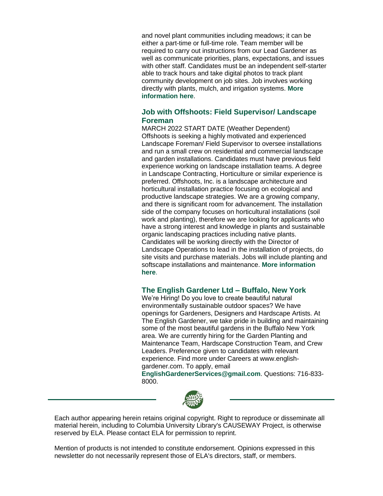and novel plant communities including meadows; it can be either a part-time or full-time role. Team member will be required to carry out instructions from our Lead Gardener as well as communicate priorities, plans, expectations, and issues with other staff. Candidates must be an independent self-starter able to track hours and take digital photos to track plant community development on job sites. Job involves working directly with plants, mulch, and irrigation systems. **[More](https://r20.rs6.net/tn.jsp?f=001AxRGZNAmDPZCwZsdntIzOuRkaaVyl8iRaEj_UcrOXgQ_y1AmX_oEm2FkrXpvCGQKnu1zzh_2xwMH0KSqCKXtr5yzvTIBvApg7z_fPhPDjZJ4coCGyOGADRxuCvn7qD0--_C4pSEmLSQivlaKsbeC3g==&c=Fw5ZGMRW24Rhnj-qNynE2fHVJJfDToToMev8FR_u8mIoI2JtTRfaxw==&ch=MNVCIwXXAtHs1xvnEQmPc4Y1IJ-lI-DZInDQuHAJye6WdlmpSsX5WA==)  [information here](https://r20.rs6.net/tn.jsp?f=001AxRGZNAmDPZCwZsdntIzOuRkaaVyl8iRaEj_UcrOXgQ_y1AmX_oEm2FkrXpvCGQKnu1zzh_2xwMH0KSqCKXtr5yzvTIBvApg7z_fPhPDjZJ4coCGyOGADRxuCvn7qD0--_C4pSEmLSQivlaKsbeC3g==&c=Fw5ZGMRW24Rhnj-qNynE2fHVJJfDToToMev8FR_u8mIoI2JtTRfaxw==&ch=MNVCIwXXAtHs1xvnEQmPc4Y1IJ-lI-DZInDQuHAJye6WdlmpSsX5WA==)**.

#### **Job with Offshoots: Field Supervisor/ Landscape Foreman**

MARCH 2022 START DATE (Weather Dependent) Offshoots is seeking a highly motivated and experienced Landscape Foreman/ Field Supervisor to oversee installations and run a small crew on residential and commercial landscape and garden installations. Candidates must have previous field experience working on landscape installation teams. A degree in Landscape Contracting, Horticulture or similar experience is preferred. Offshoots, Inc. is a landscape architecture and horticultural installation practice focusing on ecological and productive landscape strategies. We are a growing company, and there is significant room for advancement. The installation side of the company focuses on horticultural installations (soil work and planting), therefore we are looking for applicants who have a strong interest and knowledge in plants and sustainable organic landscaping practices including native plants. Candidates will be working directly with the Director of Landscape Operations to lead in the installation of projects, do site visits and purchase materials. Jobs will include planting and softscape installations and maintenance. **[More information](https://r20.rs6.net/tn.jsp?f=001AxRGZNAmDPZCwZsdntIzOuRkaaVyl8iRaEj_UcrOXgQ_y1AmX_oEm2FkrXpvCGQKnu1zzh_2xwMH0KSqCKXtr5yzvTIBvApg7z_fPhPDjZJ4coCGyOGADRxuCvn7qD0--_C4pSEmLSQivlaKsbeC3g==&c=Fw5ZGMRW24Rhnj-qNynE2fHVJJfDToToMev8FR_u8mIoI2JtTRfaxw==&ch=MNVCIwXXAtHs1xvnEQmPc4Y1IJ-lI-DZInDQuHAJye6WdlmpSsX5WA==)  [here](https://r20.rs6.net/tn.jsp?f=001AxRGZNAmDPZCwZsdntIzOuRkaaVyl8iRaEj_UcrOXgQ_y1AmX_oEm2FkrXpvCGQKnu1zzh_2xwMH0KSqCKXtr5yzvTIBvApg7z_fPhPDjZJ4coCGyOGADRxuCvn7qD0--_C4pSEmLSQivlaKsbeC3g==&c=Fw5ZGMRW24Rhnj-qNynE2fHVJJfDToToMev8FR_u8mIoI2JtTRfaxw==&ch=MNVCIwXXAtHs1xvnEQmPc4Y1IJ-lI-DZInDQuHAJye6WdlmpSsX5WA==)**.

#### **The English Gardener Ltd – Buffalo, New York**

We're Hiring! Do you love to create beautiful natural environmentally sustainable outdoor spaces? We have openings for Gardeners, Designers and Hardscape Artists. At The English Gardener, we take pride in building and maintaining some of the most beautiful gardens in the Buffalo New York area. We are currently hiring for the Garden Planting and Maintenance Team, Hardscape Construction Team, and Crew Leaders. Preference given to candidates with relevant experience. Find more under Careers at [www.english](https://r20.rs6.net/tn.jsp?f=001AxRGZNAmDPZCwZsdntIzOuRkaaVyl8iRaEj_UcrOXgQ_y1AmX_oEm2FkrXpvCGQKhuLYsUPmIvvCxAA1T0lkum_TABTRk_xsOmz_ssSk9-i5Djkb3dd7LNzpbr18jpCrCcjOllS5DKHUBTEh1LHB7GURukEicHxj&c=Fw5ZGMRW24Rhnj-qNynE2fHVJJfDToToMev8FR_u8mIoI2JtTRfaxw==&ch=MNVCIwXXAtHs1xvnEQmPc4Y1IJ-lI-DZInDQuHAJye6WdlmpSsX5WA==)[gardener.com.](https://r20.rs6.net/tn.jsp?f=001AxRGZNAmDPZCwZsdntIzOuRkaaVyl8iRaEj_UcrOXgQ_y1AmX_oEm2FkrXpvCGQKhuLYsUPmIvvCxAA1T0lkum_TABTRk_xsOmz_ssSk9-i5Djkb3dd7LNzpbr18jpCrCcjOllS5DKHUBTEh1LHB7GURukEicHxj&c=Fw5ZGMRW24Rhnj-qNynE2fHVJJfDToToMev8FR_u8mIoI2JtTRfaxw==&ch=MNVCIwXXAtHs1xvnEQmPc4Y1IJ-lI-DZInDQuHAJye6WdlmpSsX5WA==) To apply, email **[EnglishGardenerServices@gmail.com](mailto:EnglishGardenerServices@gmail.com)**. Questions: 716-833- 8000.



Each author appearing herein retains original copyright. Right to reproduce or disseminate all material herein, including to Columbia University Library's CAUSEWAY Project, is otherwise reserved by ELA. Please contact ELA for permission to reprint.

Mention of products is not intended to constitute endorsement. Opinions expressed in this newsletter do not necessarily represent those of ELA's directors, staff, or members.